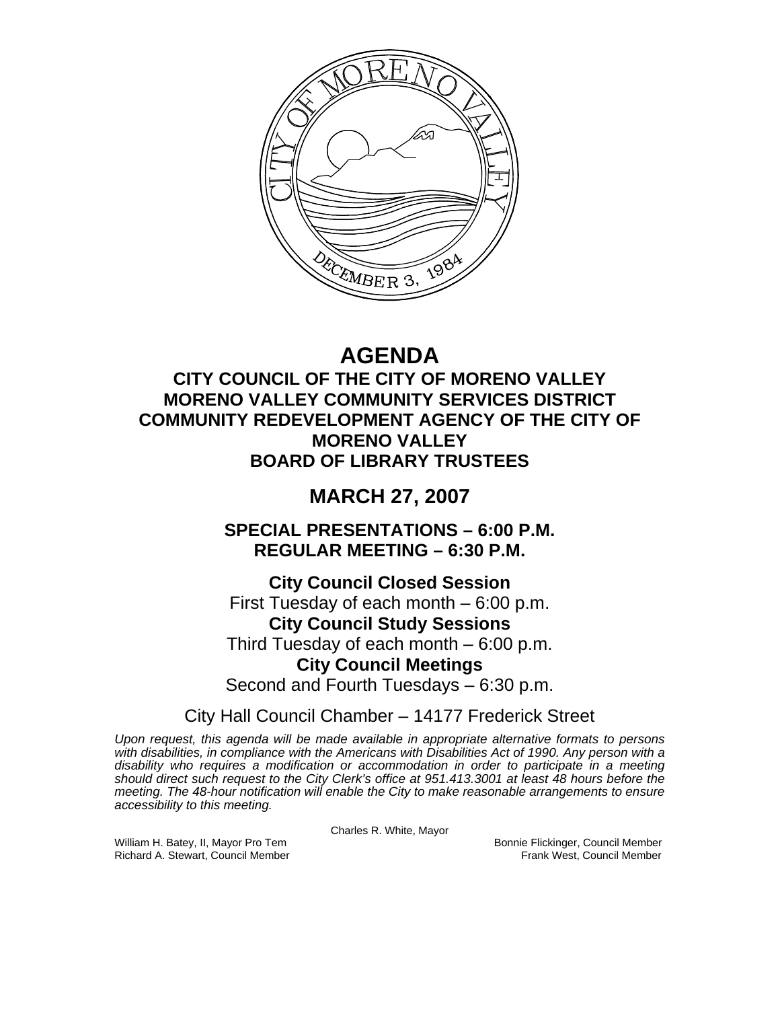

# **AGENDA**

## **CITY COUNCIL OF THE CITY OF MORENO VALLEY MORENO VALLEY COMMUNITY SERVICES DISTRICT COMMUNITY REDEVELOPMENT AGENCY OF THE CITY OF MORENO VALLEY BOARD OF LIBRARY TRUSTEES**

## **MARCH 27, 2007**

**SPECIAL PRESENTATIONS – 6:00 P.M. REGULAR MEETING – 6:30 P.M.** 

**City Council Closed Session**  First Tuesday of each month – 6:00 p.m. **City Council Study Sessions**  Third Tuesday of each month – 6:00 p.m. **City Council Meetings**  Second and Fourth Tuesdays – 6:30 p.m.

City Hall Council Chamber – 14177 Frederick Street

*Upon request, this agenda will be made available in appropriate alternative formats to persons with disabilities, in compliance with the Americans with Disabilities Act of 1990. Any person with a disability who requires a modification or accommodation in order to participate in a meeting should direct such request to the City Clerk's office at 951.413.3001 at least 48 hours before the meeting. The 48-hour notification will enable the City to make reasonable arrangements to ensure accessibility to this meeting.* 

Charles R. White, Mayor

William H. Batey, II, Mayor Pro Tem Bonnie Flickinger, Council Member<br>Richard A. Stewart, Council Member Bonnie Frank West, Council Member Richard A. Stewart, Council Member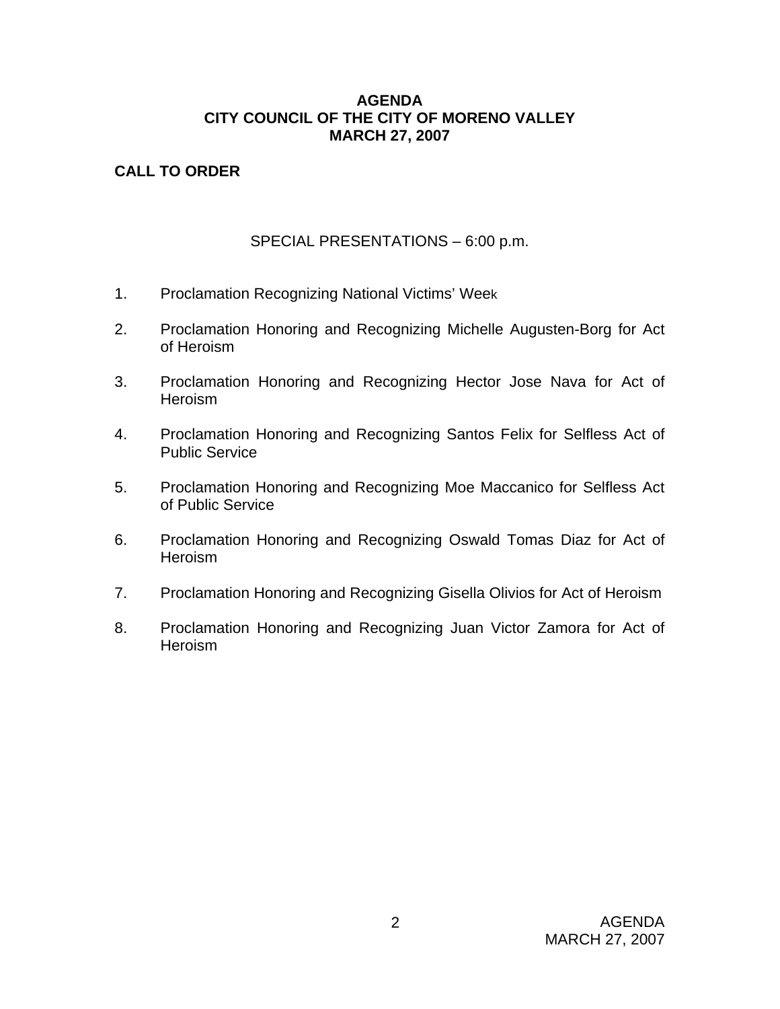#### **AGENDA CITY COUNCIL OF THE CITY OF MORENO VALLEY MARCH 27, 2007**

## **CALL TO ORDER**

## SPECIAL PRESENTATIONS – 6:00 p.m.

- 1. Proclamation Recognizing National Victims' Week
- 2. Proclamation Honoring and Recognizing Michelle Augusten-Borg for Act of Heroism
- 3. Proclamation Honoring and Recognizing Hector Jose Nava for Act of Heroism
- 4. Proclamation Honoring and Recognizing Santos Felix for Selfless Act of Public Service
- 5. Proclamation Honoring and Recognizing Moe Maccanico for Selfless Act of Public Service
- 6. Proclamation Honoring and Recognizing Oswald Tomas Diaz for Act of **Heroism**
- 7. Proclamation Honoring and Recognizing Gisella Olivios for Act of Heroism
- 8. Proclamation Honoring and Recognizing Juan Victor Zamora for Act of **Heroism**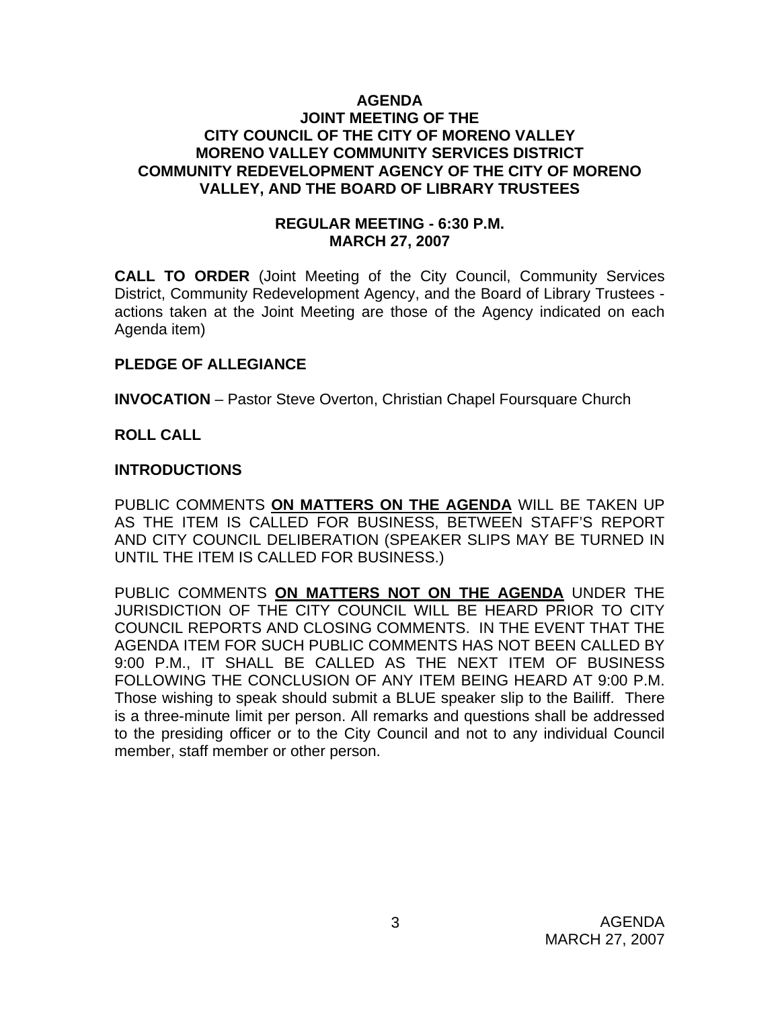#### **AGENDA JOINT MEETING OF THE CITY COUNCIL OF THE CITY OF MORENO VALLEY MORENO VALLEY COMMUNITY SERVICES DISTRICT COMMUNITY REDEVELOPMENT AGENCY OF THE CITY OF MORENO VALLEY, AND THE BOARD OF LIBRARY TRUSTEES**

#### **REGULAR MEETING - 6:30 P.M. MARCH 27, 2007**

**CALL TO ORDER** (Joint Meeting of the City Council, Community Services District, Community Redevelopment Agency, and the Board of Library Trustees actions taken at the Joint Meeting are those of the Agency indicated on each Agenda item)

#### **PLEDGE OF ALLEGIANCE**

**INVOCATION** – Pastor Steve Overton, Christian Chapel Foursquare Church

#### **ROLL CALL**

#### **INTRODUCTIONS**

PUBLIC COMMENTS **ON MATTERS ON THE AGENDA** WILL BE TAKEN UP AS THE ITEM IS CALLED FOR BUSINESS, BETWEEN STAFF'S REPORT AND CITY COUNCIL DELIBERATION (SPEAKER SLIPS MAY BE TURNED IN UNTIL THE ITEM IS CALLED FOR BUSINESS.)

PUBLIC COMMENTS **ON MATTERS NOT ON THE AGENDA** UNDER THE JURISDICTION OF THE CITY COUNCIL WILL BE HEARD PRIOR TO CITY COUNCIL REPORTS AND CLOSING COMMENTS. IN THE EVENT THAT THE AGENDA ITEM FOR SUCH PUBLIC COMMENTS HAS NOT BEEN CALLED BY 9:00 P.M., IT SHALL BE CALLED AS THE NEXT ITEM OF BUSINESS FOLLOWING THE CONCLUSION OF ANY ITEM BEING HEARD AT 9:00 P.M. Those wishing to speak should submit a BLUE speaker slip to the Bailiff. There is a three-minute limit per person. All remarks and questions shall be addressed to the presiding officer or to the City Council and not to any individual Council member, staff member or other person.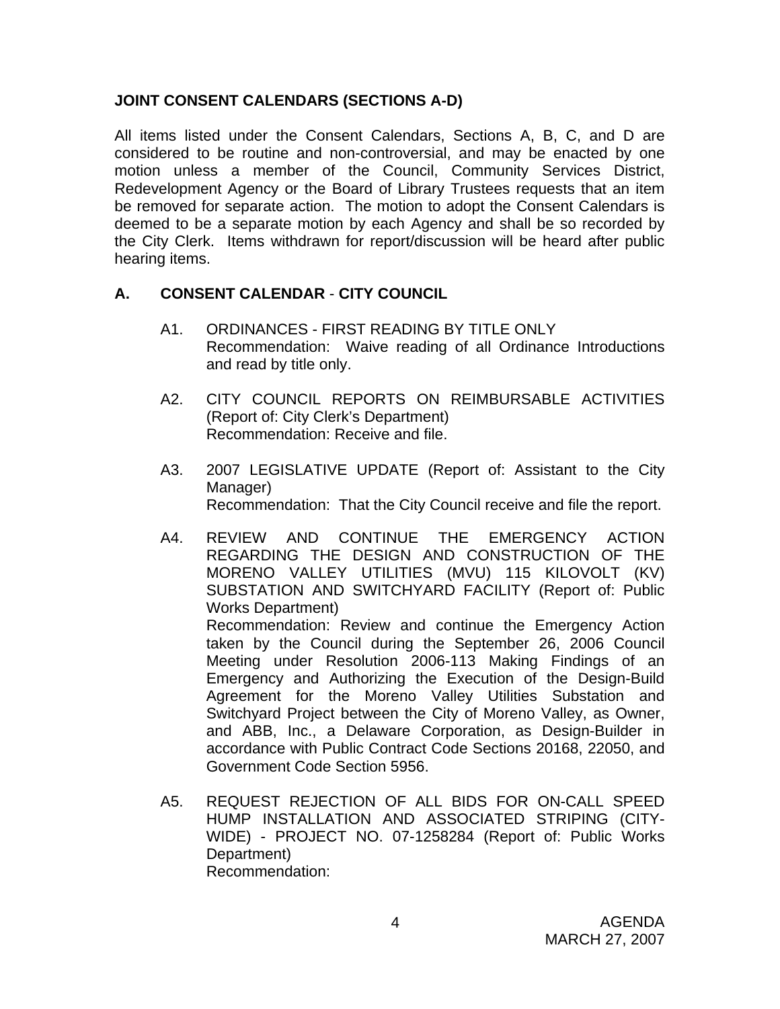#### **JOINT CONSENT CALENDARS (SECTIONS A-D)**

All items listed under the Consent Calendars, Sections A, B, C, and D are considered to be routine and non-controversial, and may be enacted by one motion unless a member of the Council, Community Services District, Redevelopment Agency or the Board of Library Trustees requests that an item be removed for separate action. The motion to adopt the Consent Calendars is deemed to be a separate motion by each Agency and shall be so recorded by the City Clerk. Items withdrawn for report/discussion will be heard after public hearing items.

#### **A. CONSENT CALENDAR** - **CITY COUNCIL**

- A1. ORDINANCES FIRST READING BY TITLE ONLY Recommendation: Waive reading of all Ordinance Introductions and read by title only.
- A2. CITY COUNCIL REPORTS ON REIMBURSABLE ACTIVITIES (Report of: City Clerk's Department) Recommendation: Receive and file.
- A3. 2007 LEGISLATIVE UPDATE (Report of: Assistant to the City Manager) Recommendation: That the City Council receive and file the report.
- A4. REVIEW AND CONTINUE THE EMERGENCY ACTION REGARDING THE DESIGN AND CONSTRUCTION OF THE MORENO VALLEY UTILITIES (MVU) 115 KILOVOLT (KV) SUBSTATION AND SWITCHYARD FACILITY (Report of: Public Works Department) Recommendation: Review and continue the Emergency Action taken by the Council during the September 26, 2006 Council Meeting under Resolution 2006-113 Making Findings of an

Emergency and Authorizing the Execution of the Design-Build Agreement for the Moreno Valley Utilities Substation and Switchyard Project between the City of Moreno Valley, as Owner, and ABB, Inc., a Delaware Corporation, as Design-Builder in accordance with Public Contract Code Sections 20168, 22050, and Government Code Section 5956.

A5. REQUEST REJECTION OF ALL BIDS FOR ON-CALL SPEED HUMP INSTALLATION AND ASSOCIATED STRIPING (CITY-WIDE) - PROJECT NO. 07-1258284 (Report of: Public Works Department) Recommendation: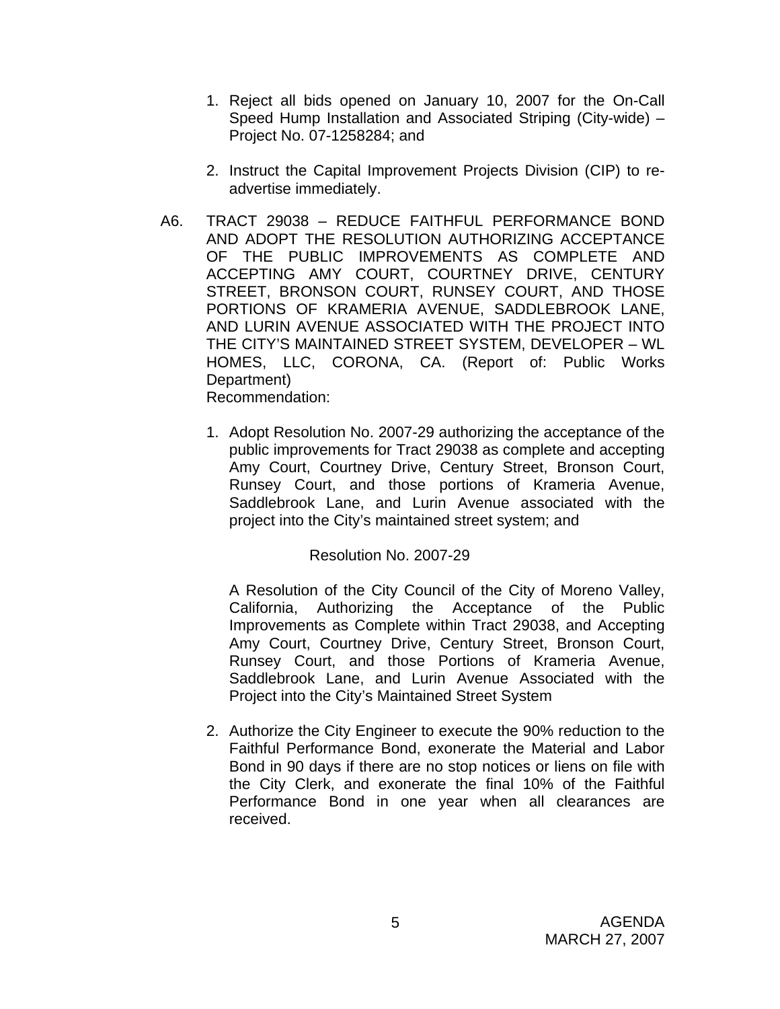- 1. Reject all bids opened on January 10, 2007 for the On-Call Speed Hump Installation and Associated Striping (City-wide) – Project No. 07-1258284; and
- 2. Instruct the Capital Improvement Projects Division (CIP) to readvertise immediately.
- A6. TRACT 29038 REDUCE FAITHFUL PERFORMANCE BOND AND ADOPT THE RESOLUTION AUTHORIZING ACCEPTANCE OF THE PUBLIC IMPROVEMENTS AS COMPLETE AND ACCEPTING AMY COURT, COURTNEY DRIVE, CENTURY STREET, BRONSON COURT, RUNSEY COURT, AND THOSE PORTIONS OF KRAMERIA AVENUE, SADDLEBROOK LANE, AND LURIN AVENUE ASSOCIATED WITH THE PROJECT INTO THE CITY'S MAINTAINED STREET SYSTEM, DEVELOPER – WL HOMES, LLC, CORONA, CA. (Report of: Public Works Department) Recommendation:
	- 1. Adopt Resolution No. 2007-29 authorizing the acceptance of the public improvements for Tract 29038 as complete and accepting Amy Court, Courtney Drive, Century Street, Bronson Court, Runsey Court, and those portions of Krameria Avenue, Saddlebrook Lane, and Lurin Avenue associated with the project into the City's maintained street system; and

#### Resolution No. 2007-29

A Resolution of the City Council of the City of Moreno Valley, California, Authorizing the Acceptance of the Public Improvements as Complete within Tract 29038, and Accepting Amy Court, Courtney Drive, Century Street, Bronson Court, Runsey Court, and those Portions of Krameria Avenue, Saddlebrook Lane, and Lurin Avenue Associated with the Project into the City's Maintained Street System

2. Authorize the City Engineer to execute the 90% reduction to the Faithful Performance Bond, exonerate the Material and Labor Bond in 90 days if there are no stop notices or liens on file with the City Clerk, and exonerate the final 10% of the Faithful Performance Bond in one year when all clearances are received.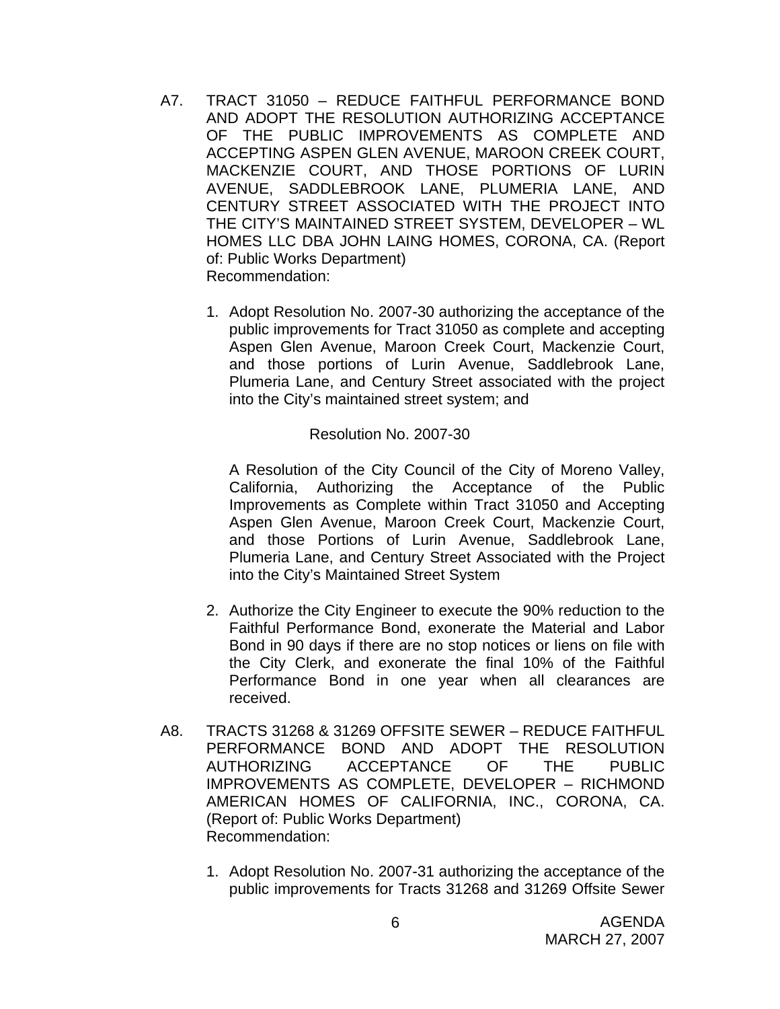- A7. TRACT 31050 REDUCE FAITHFUL PERFORMANCE BOND AND ADOPT THE RESOLUTION AUTHORIZING ACCEPTANCE OF THE PUBLIC IMPROVEMENTS AS COMPLETE AND ACCEPTING ASPEN GLEN AVENUE, MAROON CREEK COURT, MACKENZIE COURT, AND THOSE PORTIONS OF LURIN AVENUE, SADDLEBROOK LANE, PLUMERIA LANE, AND CENTURY STREET ASSOCIATED WITH THE PROJECT INTO THE CITY'S MAINTAINED STREET SYSTEM, DEVELOPER – WL HOMES LLC DBA JOHN LAING HOMES, CORONA, CA. (Report of: Public Works Department) Recommendation:
	- 1. Adopt Resolution No. 2007-30 authorizing the acceptance of the public improvements for Tract 31050 as complete and accepting Aspen Glen Avenue, Maroon Creek Court, Mackenzie Court, and those portions of Lurin Avenue, Saddlebrook Lane, Plumeria Lane, and Century Street associated with the project into the City's maintained street system; and

#### Resolution No. 2007-30

A Resolution of the City Council of the City of Moreno Valley, California, Authorizing the Acceptance of the Public Improvements as Complete within Tract 31050 and Accepting Aspen Glen Avenue, Maroon Creek Court, Mackenzie Court, and those Portions of Lurin Avenue, Saddlebrook Lane, Plumeria Lane, and Century Street Associated with the Project into the City's Maintained Street System

- 2. Authorize the City Engineer to execute the 90% reduction to the Faithful Performance Bond, exonerate the Material and Labor Bond in 90 days if there are no stop notices or liens on file with the City Clerk, and exonerate the final 10% of the Faithful Performance Bond in one year when all clearances are received.
- A8. TRACTS 31268 & 31269 OFFSITE SEWER REDUCE FAITHFUL PERFORMANCE BOND AND ADOPT THE RESOLUTION AUTHORIZING ACCEPTANCE OF THE PUBLIC IMPROVEMENTS AS COMPLETE, DEVELOPER – RICHMOND AMERICAN HOMES OF CALIFORNIA, INC., CORONA, CA. (Report of: Public Works Department) Recommendation:
	- 1. Adopt Resolution No. 2007-31 authorizing the acceptance of the public improvements for Tracts 31268 and 31269 Offsite Sewer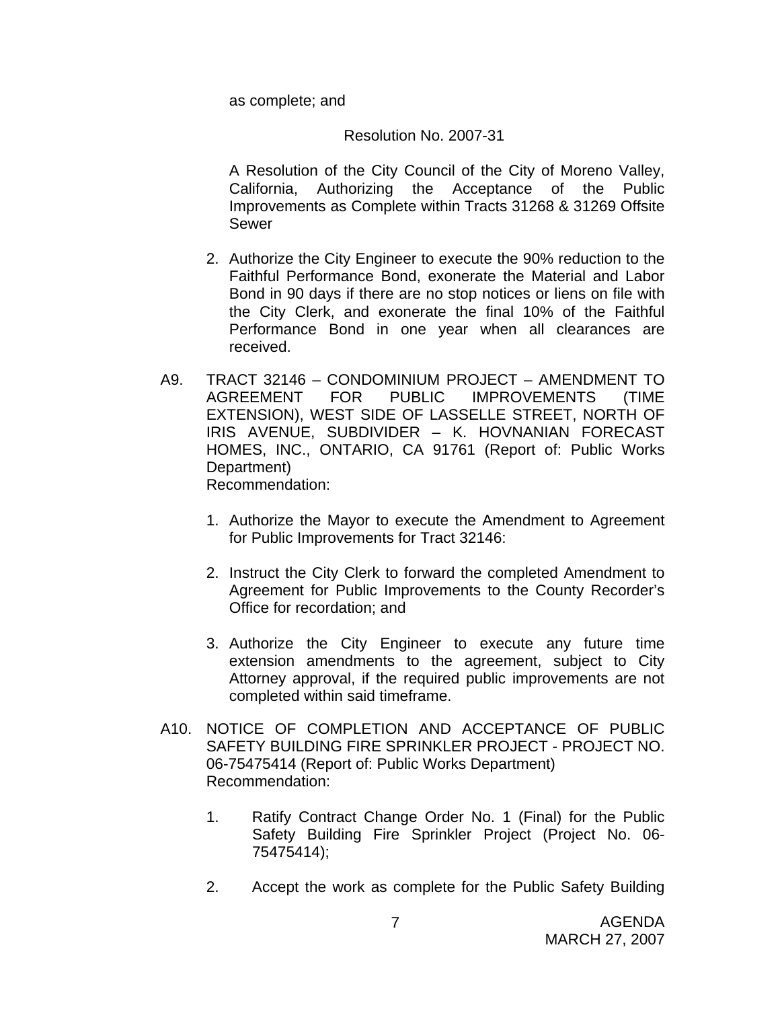as complete; and

#### Resolution No. 2007-31

A Resolution of the City Council of the City of Moreno Valley, California, Authorizing the Acceptance of the Public Improvements as Complete within Tracts 31268 & 31269 Offsite Sewer

- 2. Authorize the City Engineer to execute the 90% reduction to the Faithful Performance Bond, exonerate the Material and Labor Bond in 90 days if there are no stop notices or liens on file with the City Clerk, and exonerate the final 10% of the Faithful Performance Bond in one year when all clearances are received.
- A9. TRACT 32146 CONDOMINIUM PROJECT AMENDMENT TO AGREEMENT FOR PUBLIC IMPROVEMENTS (TIME EXTENSION), WEST SIDE OF LASSELLE STREET, NORTH OF IRIS AVENUE, SUBDIVIDER – K. HOVNANIAN FORECAST HOMES, INC., ONTARIO, CA 91761 (Report of: Public Works Department) Recommendation:
	- 1. Authorize the Mayor to execute the Amendment to Agreement for Public Improvements for Tract 32146:
	- 2. Instruct the City Clerk to forward the completed Amendment to Agreement for Public Improvements to the County Recorder's Office for recordation; and
	- 3. Authorize the City Engineer to execute any future time extension amendments to the agreement, subject to City Attorney approval, if the required public improvements are not completed within said timeframe.
- A10. NOTICE OF COMPLETION AND ACCEPTANCE OF PUBLIC SAFETY BUILDING FIRE SPRINKLER PROJECT - PROJECT NO. 06-75475414 (Report of: Public Works Department) Recommendation:
	- 1. Ratify Contract Change Order No. 1 (Final) for the Public Safety Building Fire Sprinkler Project (Project No. 06- 75475414);
	- 2. Accept the work as complete for the Public Safety Building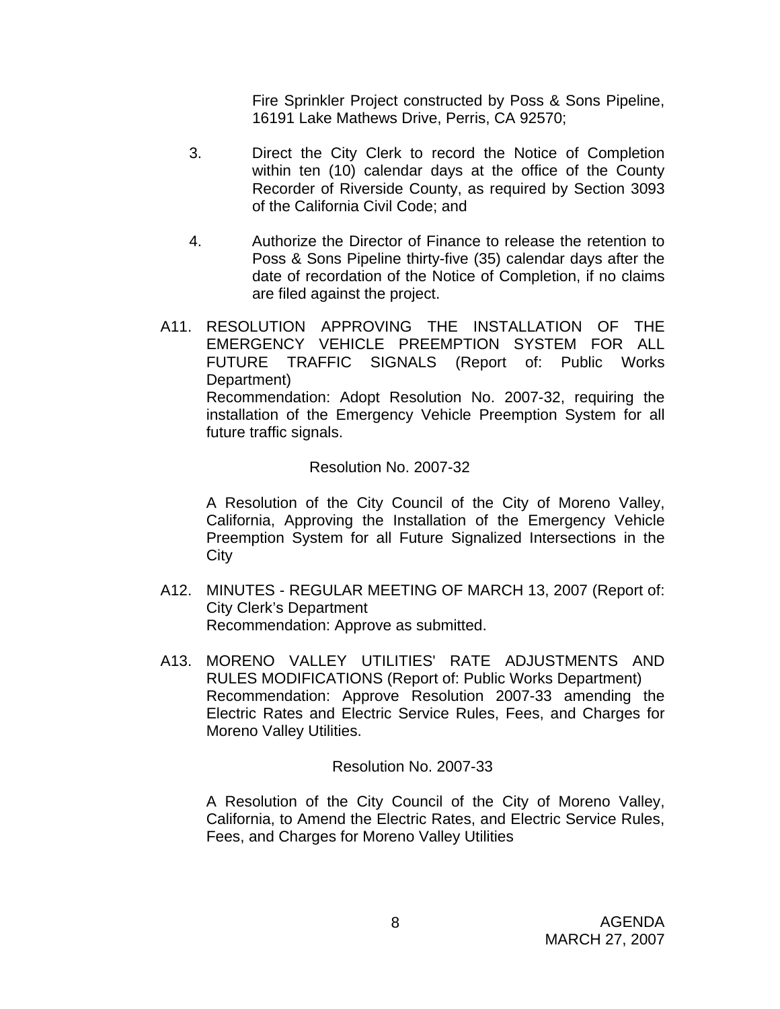Fire Sprinkler Project constructed by Poss & Sons Pipeline, 16191 Lake Mathews Drive, Perris, CA 92570;

- 3. Direct the City Clerk to record the Notice of Completion within ten (10) calendar days at the office of the County Recorder of Riverside County, as required by Section 3093 of the California Civil Code; and
- 4. Authorize the Director of Finance to release the retention to Poss & Sons Pipeline thirty-five (35) calendar days after the date of recordation of the Notice of Completion, if no claims are filed against the project.
- A11. RESOLUTION APPROVING THE INSTALLATION OF THE EMERGENCY VEHICLE PREEMPTION SYSTEM FOR ALL FUTURE TRAFFIC SIGNALS (Report of: Public Works Department) Recommendation: Adopt Resolution No. 2007-32, requiring the installation of the Emergency Vehicle Preemption System for all future traffic signals.

#### Resolution No. 2007-32

A Resolution of the City Council of the City of Moreno Valley, California, Approving the Installation of the Emergency Vehicle Preemption System for all Future Signalized Intersections in the **City** 

- A12. MINUTES REGULAR MEETING OF MARCH 13, 2007 (Report of: City Clerk's Department Recommendation: Approve as submitted.
- A13. MORENO VALLEY UTILITIES' RATE ADJUSTMENTS AND RULES MODIFICATIONS (Report of: Public Works Department) Recommendation: Approve Resolution 2007-33 amending the Electric Rates and Electric Service Rules, Fees, and Charges for Moreno Valley Utilities.

#### Resolution No. 2007-33

A Resolution of the City Council of the City of Moreno Valley, California, to Amend the Electric Rates, and Electric Service Rules, Fees, and Charges for Moreno Valley Utilities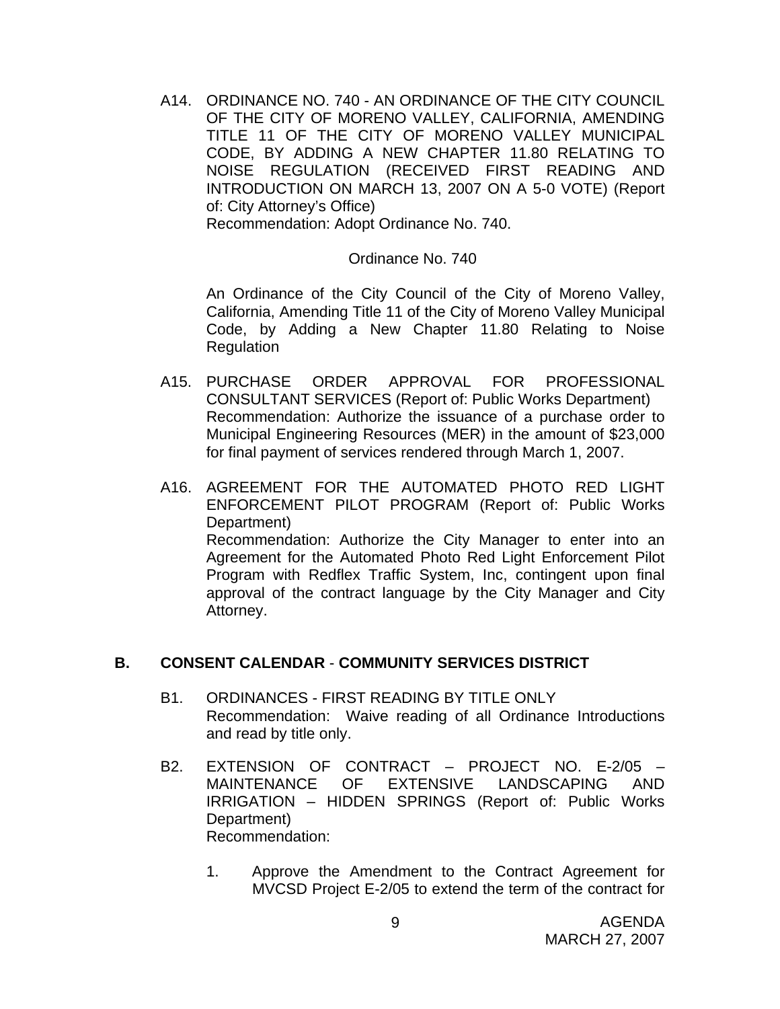A14. ORDINANCE NO. 740 - AN ORDINANCE OF THE CITY COUNCIL OF THE CITY OF MORENO VALLEY, CALIFORNIA, AMENDING TITLE 11 OF THE CITY OF MORENO VALLEY MUNICIPAL CODE, BY ADDING A NEW CHAPTER 11.80 RELATING TO NOISE REGULATION (RECEIVED FIRST READING AND INTRODUCTION ON MARCH 13, 2007 ON A 5-0 VOTE) (Report of: City Attorney's Office)

Recommendation: Adopt Ordinance No. 740.

#### Ordinance No. 740

An Ordinance of the City Council of the City of Moreno Valley, California, Amending Title 11 of the City of Moreno Valley Municipal Code, by Adding a New Chapter 11.80 Relating to Noise **Regulation** 

- A15. PURCHASE ORDER APPROVAL FOR PROFESSIONAL CONSULTANT SERVICES (Report of: Public Works Department) Recommendation: Authorize the issuance of a purchase order to Municipal Engineering Resources (MER) in the amount of \$23,000 for final payment of services rendered through March 1, 2007.
- A16. AGREEMENT FOR THE AUTOMATED PHOTO RED LIGHT ENFORCEMENT PILOT PROGRAM (Report of: Public Works Department) Recommendation: Authorize the City Manager to enter into an Agreement for the Automated Photo Red Light Enforcement Pilot Program with Redflex Traffic System, Inc, contingent upon final approval of the contract language by the City Manager and City Attorney.

#### **B. CONSENT CALENDAR** - **COMMUNITY SERVICES DISTRICT**

- B1. ORDINANCES FIRST READING BY TITLE ONLY Recommendation: Waive reading of all Ordinance Introductions and read by title only.
- B2. EXTENSION OF CONTRACT PROJECT NO. E-2/05 MAINTENANCE OF EXTENSIVE LANDSCAPING AND IRRIGATION – HIDDEN SPRINGS (Report of: Public Works Department) Recommendation:
	- 1. Approve the Amendment to the Contract Agreement for MVCSD Project E-2/05 to extend the term of the contract for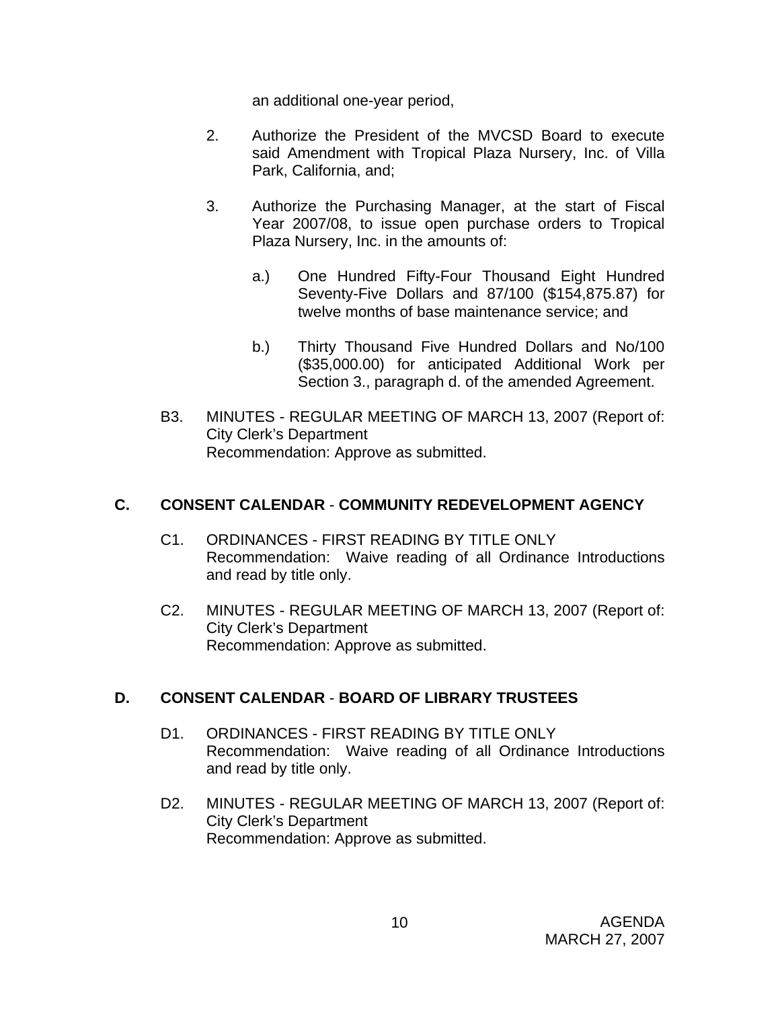an additional one-year period,

- 2. Authorize the President of the MVCSD Board to execute said Amendment with Tropical Plaza Nursery, Inc. of Villa Park, California, and;
- 3. Authorize the Purchasing Manager, at the start of Fiscal Year 2007/08, to issue open purchase orders to Tropical Plaza Nursery, Inc. in the amounts of:
	- a.) One Hundred Fifty-Four Thousand Eight Hundred Seventy-Five Dollars and 87/100 (\$154,875.87) for twelve months of base maintenance service; and
	- b.) Thirty Thousand Five Hundred Dollars and No/100 (\$35,000.00) for anticipated Additional Work per Section 3., paragraph d. of the amended Agreement.
- B3. MINUTES REGULAR MEETING OF MARCH 13, 2007 (Report of: City Clerk's Department Recommendation: Approve as submitted.

## **C. CONSENT CALENDAR** - **COMMUNITY REDEVELOPMENT AGENCY**

- C1. ORDINANCES FIRST READING BY TITLE ONLY Recommendation: Waive reading of all Ordinance Introductions and read by title only.
- C2. MINUTES REGULAR MEETING OF MARCH 13, 2007 (Report of: City Clerk's Department Recommendation: Approve as submitted.

## **D. CONSENT CALENDAR** - **BOARD OF LIBRARY TRUSTEES**

- D1. ORDINANCES FIRST READING BY TITLE ONLY Recommendation: Waive reading of all Ordinance Introductions and read by title only.
- D2. MINUTES REGULAR MEETING OF MARCH 13, 2007 (Report of: City Clerk's Department Recommendation: Approve as submitted.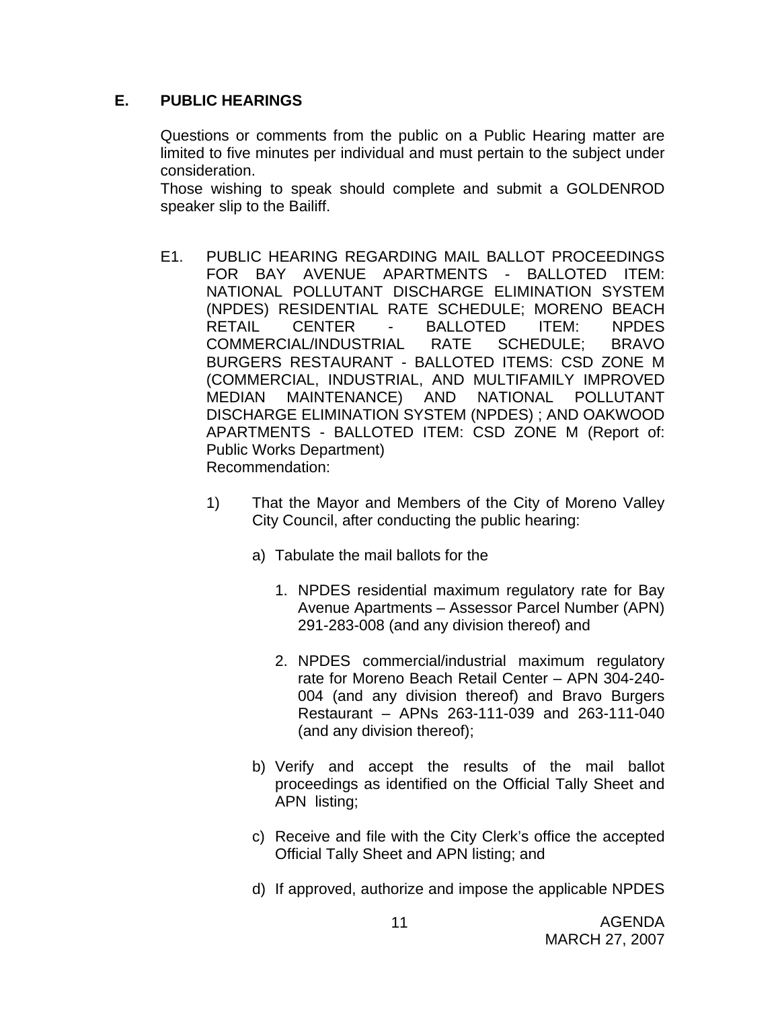#### **E. PUBLIC HEARINGS**

Questions or comments from the public on a Public Hearing matter are limited to five minutes per individual and must pertain to the subject under consideration.

 Those wishing to speak should complete and submit a GOLDENROD speaker slip to the Bailiff.

- E1. PUBLIC HEARING REGARDING MAIL BALLOT PROCEEDINGS FOR BAY AVENUE APARTMENTS - BALLOTED ITEM: NATIONAL POLLUTANT DISCHARGE ELIMINATION SYSTEM (NPDES) RESIDENTIAL RATE SCHEDULE; MORENO BEACH RETAIL CENTER - BALLOTED ITEM: NPDES COMMERCIAL/INDUSTRIAL RATE SCHEDULE; BRAVO BURGERS RESTAURANT - BALLOTED ITEMS: CSD ZONE M (COMMERCIAL, INDUSTRIAL, AND MULTIFAMILY IMPROVED MEDIAN MAINTENANCE) AND NATIONAL POLLUTANT DISCHARGE ELIMINATION SYSTEM (NPDES) ; AND OAKWOOD APARTMENTS - BALLOTED ITEM: CSD ZONE M (Report of: Public Works Department) Recommendation:
	- 1) That the Mayor and Members of the City of Moreno Valley City Council, after conducting the public hearing:
		- a) Tabulate the mail ballots for the
			- 1. NPDES residential maximum regulatory rate for Bay Avenue Apartments – Assessor Parcel Number (APN) 291-283-008 (and any division thereof) and
			- 2. NPDES commercial/industrial maximum regulatory rate for Moreno Beach Retail Center – APN 304-240- 004 (and any division thereof) and Bravo Burgers Restaurant – APNs 263-111-039 and 263-111-040 (and any division thereof);
		- b) Verify and accept the results of the mail ballot proceedings as identified on the Official Tally Sheet and APN listing;
		- c) Receive and file with the City Clerk's office the accepted Official Tally Sheet and APN listing; and
		- d) If approved, authorize and impose the applicable NPDES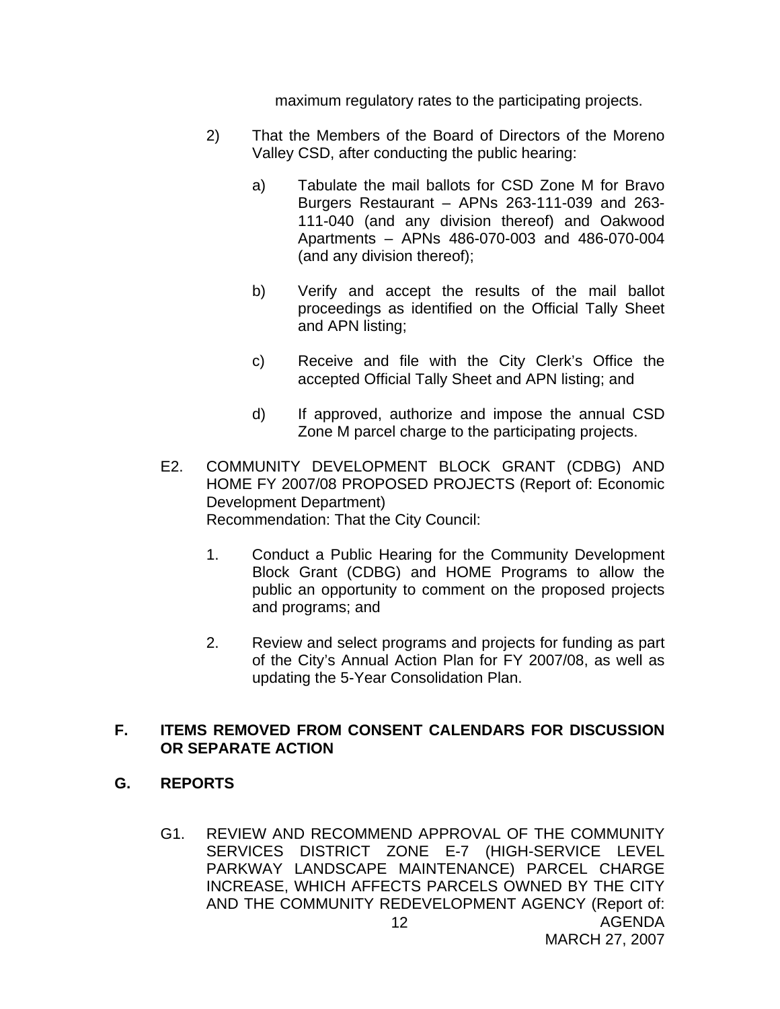maximum regulatory rates to the participating projects.

- 2) That the Members of the Board of Directors of the Moreno Valley CSD, after conducting the public hearing:
	- a) Tabulate the mail ballots for CSD Zone M for Bravo Burgers Restaurant – APNs 263-111-039 and 263- 111-040 (and any division thereof) and Oakwood Apartments – APNs 486-070-003 and 486-070-004 (and any division thereof);
	- b) Verify and accept the results of the mail ballot proceedings as identified on the Official Tally Sheet and APN listing;
	- c) Receive and file with the City Clerk's Office the accepted Official Tally Sheet and APN listing; and
	- d) If approved, authorize and impose the annual CSD Zone M parcel charge to the participating projects.
- E2. COMMUNITY DEVELOPMENT BLOCK GRANT (CDBG) AND HOME FY 2007/08 PROPOSED PROJECTS (Report of: Economic Development Department) Recommendation: That the City Council:
	- 1. Conduct a Public Hearing for the Community Development Block Grant (CDBG) and HOME Programs to allow the public an opportunity to comment on the proposed projects and programs; and
	- 2. Review and select programs and projects for funding as part of the City's Annual Action Plan for FY 2007/08, as well as updating the 5-Year Consolidation Plan.

## **F. ITEMS REMOVED FROM CONSENT CALENDARS FOR DISCUSSION OR SEPARATE ACTION**

- **G. REPORTS** 
	- AGENDA 12 G1. REVIEW AND RECOMMEND APPROVAL OF THE COMMUNITY SERVICES DISTRICT ZONE E-7 (HIGH-SERVICE LEVEL PARKWAY LANDSCAPE MAINTENANCE) PARCEL CHARGE INCREASE, WHICH AFFECTS PARCELS OWNED BY THE CITY AND THE COMMUNITY REDEVELOPMENT AGENCY (Report of: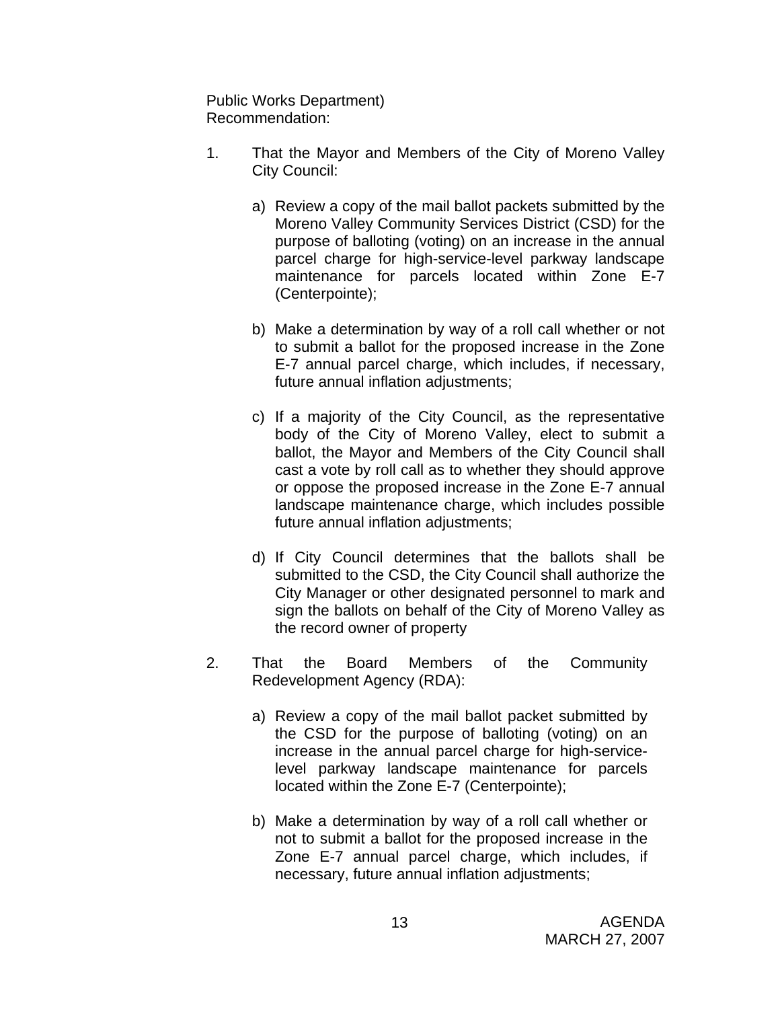Public Works Department) Recommendation:

- 1. That the Mayor and Members of the City of Moreno Valley City Council:
	- a) Review a copy of the mail ballot packets submitted by the Moreno Valley Community Services District (CSD) for the purpose of balloting (voting) on an increase in the annual parcel charge for high-service-level parkway landscape maintenance for parcels located within Zone E-7 (Centerpointe);
	- b) Make a determination by way of a roll call whether or not to submit a ballot for the proposed increase in the Zone E-7 annual parcel charge, which includes, if necessary, future annual inflation adjustments;
	- c) If a majority of the City Council, as the representative body of the City of Moreno Valley, elect to submit a ballot, the Mayor and Members of the City Council shall cast a vote by roll call as to whether they should approve or oppose the proposed increase in the Zone E-7 annual landscape maintenance charge, which includes possible future annual inflation adjustments;
	- d) If City Council determines that the ballots shall be submitted to the CSD, the City Council shall authorize the City Manager or other designated personnel to mark and sign the ballots on behalf of the City of Moreno Valley as the record owner of property
- 2. That the Board Members of the Community Redevelopment Agency (RDA):
	- a) Review a copy of the mail ballot packet submitted by the CSD for the purpose of balloting (voting) on an increase in the annual parcel charge for high-servicelevel parkway landscape maintenance for parcels located within the Zone E-7 (Centerpointe);
	- b) Make a determination by way of a roll call whether or not to submit a ballot for the proposed increase in the Zone E-7 annual parcel charge, which includes, if necessary, future annual inflation adjustments;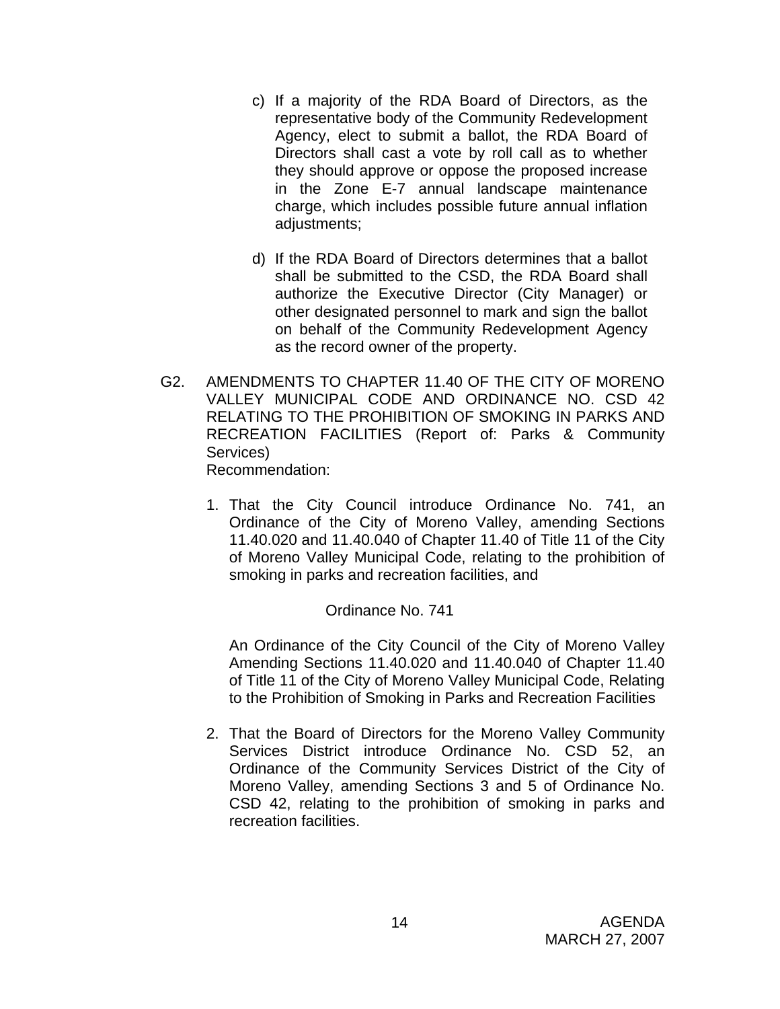- c) If a majority of the RDA Board of Directors, as the representative body of the Community Redevelopment Agency, elect to submit a ballot, the RDA Board of Directors shall cast a vote by roll call as to whether they should approve or oppose the proposed increase in the Zone E-7 annual landscape maintenance charge, which includes possible future annual inflation adjustments;
- d) If the RDA Board of Directors determines that a ballot shall be submitted to the CSD, the RDA Board shall authorize the Executive Director (City Manager) or other designated personnel to mark and sign the ballot on behalf of the Community Redevelopment Agency as the record owner of the property.
- G2. AMENDMENTS TO CHAPTER 11.40 OF THE CITY OF MORENO VALLEY MUNICIPAL CODE AND ORDINANCE NO. CSD 42 RELATING TO THE PROHIBITION OF SMOKING IN PARKS AND RECREATION FACILITIES (Report of: Parks & Community Services)

Recommendation:

1. That the City Council introduce Ordinance No. 741, an Ordinance of the City of Moreno Valley, amending Sections 11.40.020 and 11.40.040 of Chapter 11.40 of Title 11 of the City of Moreno Valley Municipal Code, relating to the prohibition of smoking in parks and recreation facilities, and

## Ordinance No. 741

An Ordinance of the City Council of the City of Moreno Valley Amending Sections 11.40.020 and 11.40.040 of Chapter 11.40 of Title 11 of the City of Moreno Valley Municipal Code, Relating to the Prohibition of Smoking in Parks and Recreation Facilities

2. That the Board of Directors for the Moreno Valley Community Services District introduce Ordinance No. CSD 52, an Ordinance of the Community Services District of the City of Moreno Valley, amending Sections 3 and 5 of Ordinance No. CSD 42, relating to the prohibition of smoking in parks and recreation facilities.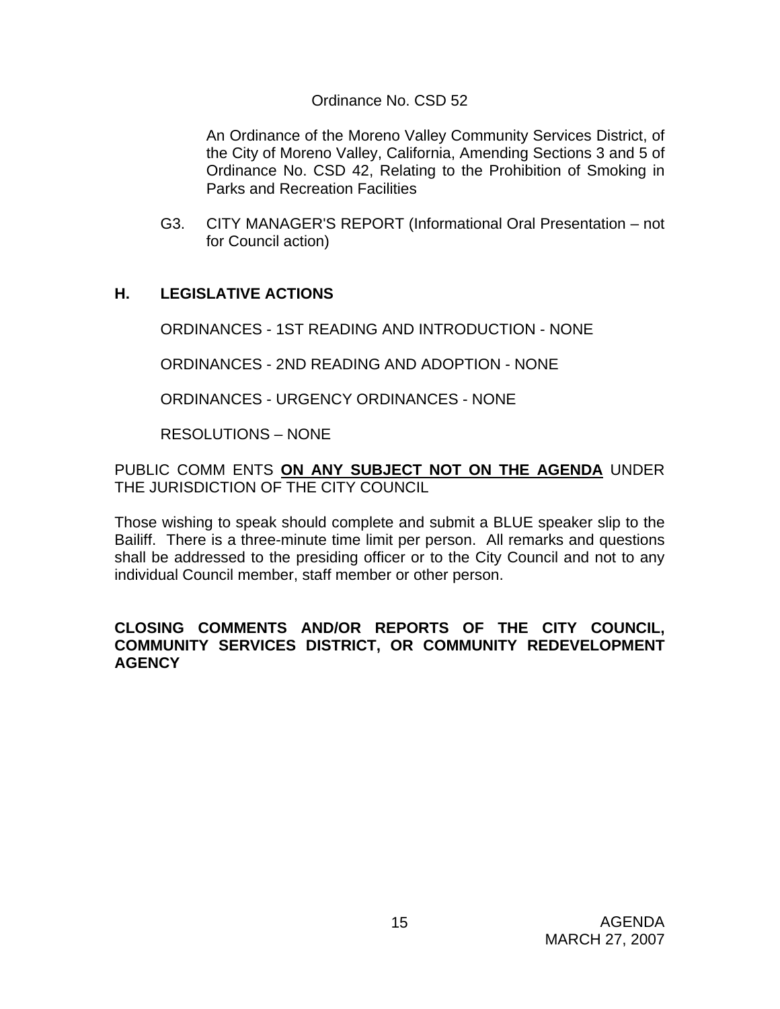#### Ordinance No. CSD 52

An Ordinance of the Moreno Valley Community Services District, of the City of Moreno Valley, California, Amending Sections 3 and 5 of Ordinance No. CSD 42, Relating to the Prohibition of Smoking in Parks and Recreation Facilities

G3. CITY MANAGER'S REPORT (Informational Oral Presentation – not for Council action)

## **H. LEGISLATIVE ACTIONS**

ORDINANCES - 1ST READING AND INTRODUCTION - NONE

ORDINANCES - 2ND READING AND ADOPTION - NONE

ORDINANCES - URGENCY ORDINANCES - NONE

RESOLUTIONS – NONE

PUBLIC COMM ENTS **ON ANY SUBJECT NOT ON THE AGENDA** UNDER THE JURISDICTION OF THE CITY COUNCIL

Those wishing to speak should complete and submit a BLUE speaker slip to the Bailiff. There is a three-minute time limit per person. All remarks and questions shall be addressed to the presiding officer or to the City Council and not to any individual Council member, staff member or other person.

#### **CLOSING COMMENTS AND/OR REPORTS OF THE CITY COUNCIL, COMMUNITY SERVICES DISTRICT, OR COMMUNITY REDEVELOPMENT AGENCY**